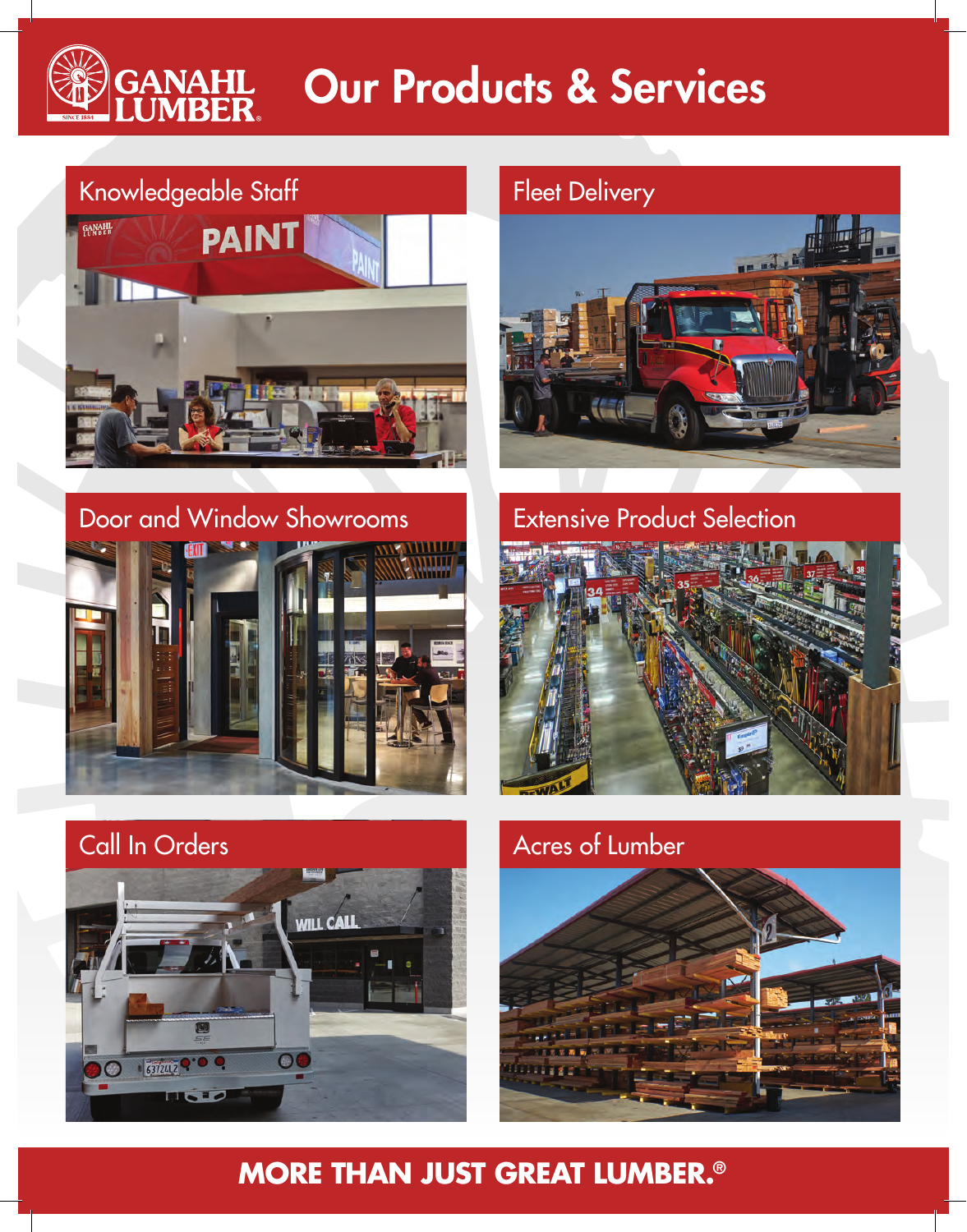# **GANAHL**<br>LUMRER Our Products & Services



## Door and Window Showrooms **Extensive Product Selection**











### **MORE THAN JUST GREAT LUMBER.®**